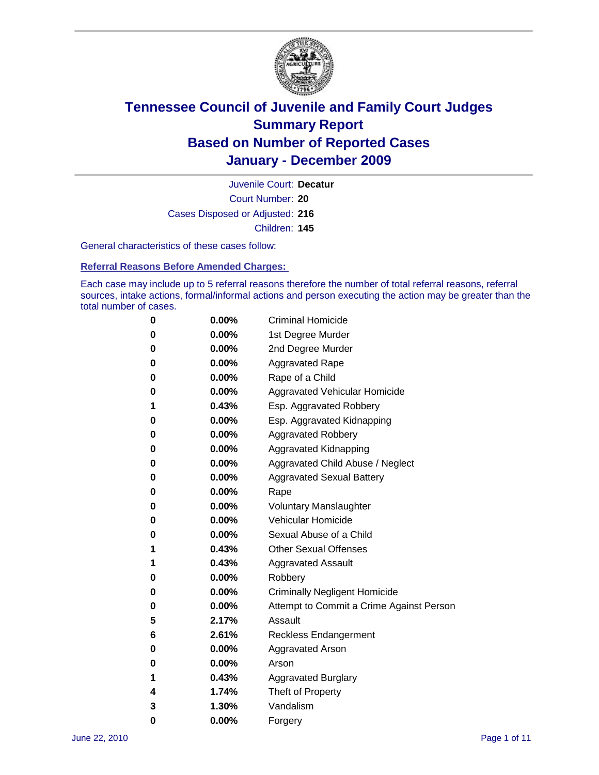

Court Number: **20** Juvenile Court: **Decatur** Cases Disposed or Adjusted: **216** Children: **145**

General characteristics of these cases follow:

**Referral Reasons Before Amended Charges:** 

Each case may include up to 5 referral reasons therefore the number of total referral reasons, referral sources, intake actions, formal/informal actions and person executing the action may be greater than the total number of cases.

| 0 | $0.00\%$ | <b>Criminal Homicide</b>                 |
|---|----------|------------------------------------------|
| 0 | $0.00\%$ | 1st Degree Murder                        |
| 0 | $0.00\%$ | 2nd Degree Murder                        |
| 0 | $0.00\%$ | <b>Aggravated Rape</b>                   |
| 0 | $0.00\%$ | Rape of a Child                          |
| 0 | $0.00\%$ | <b>Aggravated Vehicular Homicide</b>     |
| 1 | 0.43%    | Esp. Aggravated Robbery                  |
| 0 | $0.00\%$ | Esp. Aggravated Kidnapping               |
| 0 | $0.00\%$ | <b>Aggravated Robbery</b>                |
| 0 | $0.00\%$ | Aggravated Kidnapping                    |
| 0 | $0.00\%$ | Aggravated Child Abuse / Neglect         |
| 0 | 0.00%    | <b>Aggravated Sexual Battery</b>         |
| 0 | $0.00\%$ | Rape                                     |
| 0 | $0.00\%$ | <b>Voluntary Manslaughter</b>            |
| 0 | $0.00\%$ | Vehicular Homicide                       |
| 0 | $0.00\%$ | Sexual Abuse of a Child                  |
| 1 | 0.43%    | <b>Other Sexual Offenses</b>             |
| 1 | 0.43%    | <b>Aggravated Assault</b>                |
| 0 | $0.00\%$ | Robbery                                  |
| 0 | $0.00\%$ | <b>Criminally Negligent Homicide</b>     |
| 0 | $0.00\%$ | Attempt to Commit a Crime Against Person |
| 5 | 2.17%    | Assault                                  |
| 6 | 2.61%    | <b>Reckless Endangerment</b>             |
| 0 | $0.00\%$ | <b>Aggravated Arson</b>                  |
| 0 | $0.00\%$ | Arson                                    |
| 1 | 0.43%    | <b>Aggravated Burglary</b>               |
| 4 | 1.74%    | Theft of Property                        |
| 3 | 1.30%    | Vandalism                                |
| 0 | 0.00%    | Forgery                                  |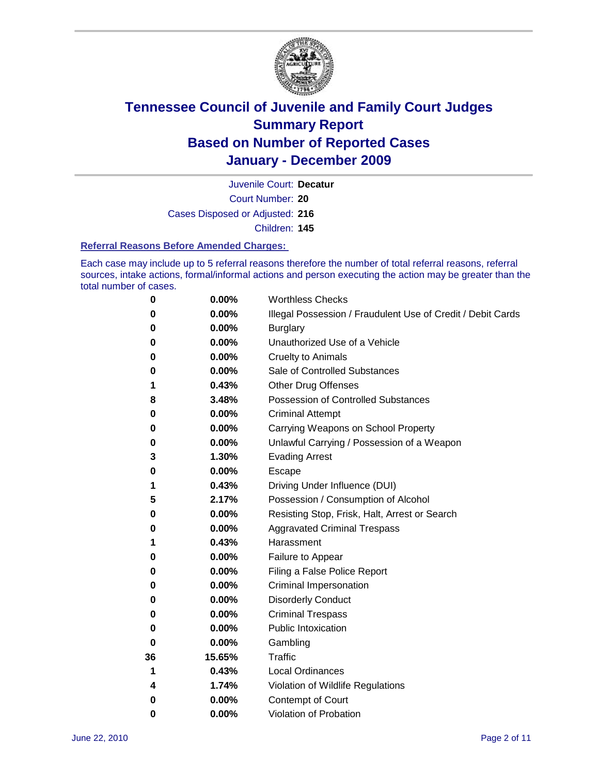

Court Number: **20** Juvenile Court: **Decatur** Cases Disposed or Adjusted: **216** Children: **145**

#### **Referral Reasons Before Amended Charges:**

Each case may include up to 5 referral reasons therefore the number of total referral reasons, referral sources, intake actions, formal/informal actions and person executing the action may be greater than the total number of cases.

| 0  | 0.00%    | <b>Worthless Checks</b>                                     |
|----|----------|-------------------------------------------------------------|
| 0  | 0.00%    | Illegal Possession / Fraudulent Use of Credit / Debit Cards |
| 0  | 0.00%    | <b>Burglary</b>                                             |
| 0  | 0.00%    | Unauthorized Use of a Vehicle                               |
| 0  | 0.00%    | <b>Cruelty to Animals</b>                                   |
| 0  | 0.00%    | Sale of Controlled Substances                               |
| 1  | 0.43%    | <b>Other Drug Offenses</b>                                  |
| 8  | 3.48%    | <b>Possession of Controlled Substances</b>                  |
| 0  | 0.00%    | <b>Criminal Attempt</b>                                     |
| 0  | 0.00%    | Carrying Weapons on School Property                         |
| 0  | 0.00%    | Unlawful Carrying / Possession of a Weapon                  |
| 3  | 1.30%    | <b>Evading Arrest</b>                                       |
| 0  | 0.00%    | Escape                                                      |
| 1  | 0.43%    | Driving Under Influence (DUI)                               |
| 5  | 2.17%    | Possession / Consumption of Alcohol                         |
| 0  | 0.00%    | Resisting Stop, Frisk, Halt, Arrest or Search               |
| 0  | 0.00%    | <b>Aggravated Criminal Trespass</b>                         |
| 1  | 0.43%    | Harassment                                                  |
| 0  | 0.00%    | Failure to Appear                                           |
| 0  | 0.00%    | Filing a False Police Report                                |
| 0  | 0.00%    | Criminal Impersonation                                      |
| 0  | 0.00%    | <b>Disorderly Conduct</b>                                   |
| 0  | 0.00%    | <b>Criminal Trespass</b>                                    |
| 0  | 0.00%    | <b>Public Intoxication</b>                                  |
| 0  | 0.00%    | Gambling                                                    |
| 36 | 15.65%   | <b>Traffic</b>                                              |
| 1  | 0.43%    | <b>Local Ordinances</b>                                     |
| 4  | 1.74%    | Violation of Wildlife Regulations                           |
| 0  | $0.00\%$ | Contempt of Court                                           |
| 0  | 0.00%    | Violation of Probation                                      |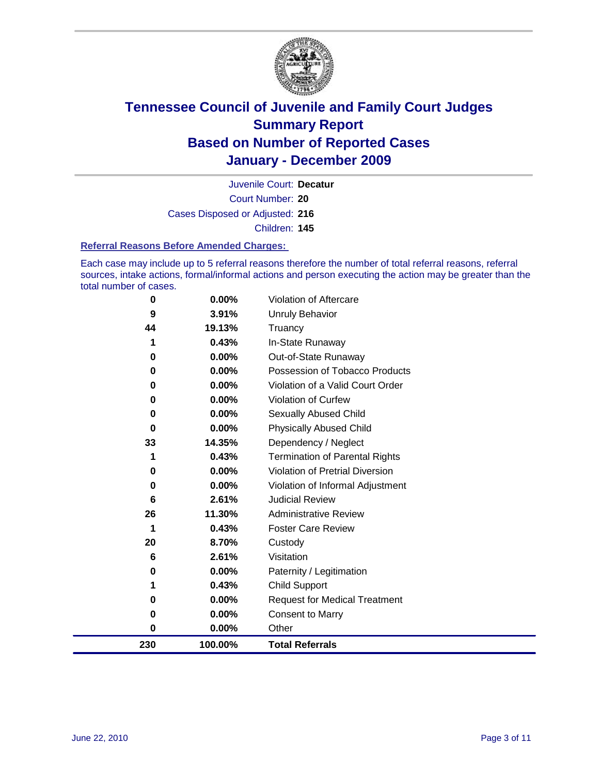

Court Number: **20** Juvenile Court: **Decatur** Cases Disposed or Adjusted: **216** Children: **145**

#### **Referral Reasons Before Amended Charges:**

Each case may include up to 5 referral reasons therefore the number of total referral reasons, referral sources, intake actions, formal/informal actions and person executing the action may be greater than the total number of cases.

| 230      | 100.00%         | <b>Total Referrals</b>                 |
|----------|-----------------|----------------------------------------|
| 0        | 0.00%           | Other                                  |
| 0        | 0.00%           | <b>Consent to Marry</b>                |
| 0        | $0.00\%$        | <b>Request for Medical Treatment</b>   |
| 1        | 0.43%           | <b>Child Support</b>                   |
| 0        | $0.00\%$        | Paternity / Legitimation               |
| 6        | 2.61%           | Visitation                             |
| 20       | 8.70%           | Custody                                |
| 1        | 0.43%           | <b>Foster Care Review</b>              |
| 26       | 11.30%          | <b>Administrative Review</b>           |
| 6        | 2.61%           | <b>Judicial Review</b>                 |
| 0        | 0.00%           | Violation of Informal Adjustment       |
| 0        | $0.00\%$        | <b>Violation of Pretrial Diversion</b> |
| 1        | 0.43%           | Termination of Parental Rights         |
| 33       | 14.35%          | Dependency / Neglect                   |
| $\bf{0}$ | $0.00\%$        | <b>Physically Abused Child</b>         |
| 0        | 0.00%           | Sexually Abused Child                  |
| 0        | $0.00\%$        | Violation of Curfew                    |
| $\bf{0}$ | $0.00\%$        | Violation of a Valid Court Order       |
| $\bf{0}$ | 0.00%           | Possession of Tobacco Products         |
| 0        | $0.00\%$        | Out-of-State Runaway                   |
|          | 0.43%           | Truancy<br>In-State Runaway            |
| 9<br>44  | 3.91%<br>19.13% | <b>Unruly Behavior</b>                 |
|          | $0.00\%$        | Violation of Aftercare                 |
| 0        |                 |                                        |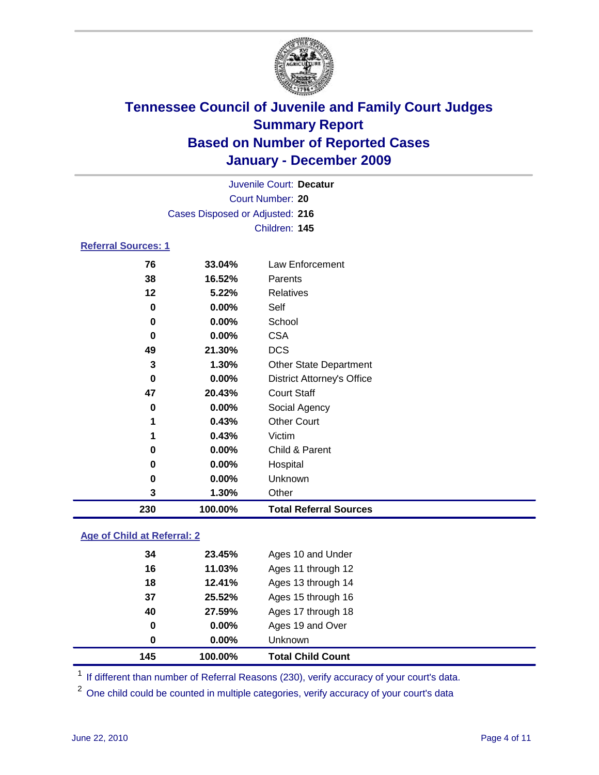

| Juvenile Court: Decatur    |                                 |                                   |  |
|----------------------------|---------------------------------|-----------------------------------|--|
|                            | <b>Court Number: 20</b>         |                                   |  |
|                            | Cases Disposed or Adjusted: 216 |                                   |  |
|                            |                                 | Children: 145                     |  |
| <b>Referral Sources: 1</b> |                                 |                                   |  |
| 76                         | 33.04%                          | Law Enforcement                   |  |
| 38                         | 16.52%                          | Parents                           |  |
| 12                         | 5.22%                           | Relatives                         |  |
| 0                          | 0.00%                           | Self                              |  |
| 0                          | 0.00%                           | School                            |  |
| 0                          | 0.00%                           | <b>CSA</b>                        |  |
| 49                         | 21.30%                          | <b>DCS</b>                        |  |
| 3                          | 1.30%                           | <b>Other State Department</b>     |  |
| 0                          | $0.00\%$                        | <b>District Attorney's Office</b> |  |
| 47                         | 20.43%                          | <b>Court Staff</b>                |  |
| $\bf{0}$                   | 0.00%                           | Social Agency                     |  |
| 1                          | 0.43%                           | <b>Other Court</b>                |  |
| 1                          | 0.43%                           | Victim                            |  |
| 0                          | 0.00%                           | Child & Parent                    |  |
| 0                          | 0.00%                           | Hospital                          |  |
| 0                          | 0.00%                           | Unknown                           |  |
| 3                          | 1.30%                           | Other                             |  |
| 230                        | 100.00%                         | <b>Total Referral Sources</b>     |  |

### **Age of Child at Referral: 2**

| 145 | 100.00%  | <b>Total Child Count</b> |
|-----|----------|--------------------------|
| 0   | $0.00\%$ | Unknown                  |
| 0   | 0.00%    | Ages 19 and Over         |
| 40  | 27.59%   | Ages 17 through 18       |
| 37  | 25.52%   | Ages 15 through 16       |
| 18  | 12.41%   | Ages 13 through 14       |
| 16  | 11.03%   | Ages 11 through 12       |
| 34  | 23.45%   | Ages 10 and Under        |
|     |          |                          |

<sup>1</sup> If different than number of Referral Reasons (230), verify accuracy of your court's data.

<sup>2</sup> One child could be counted in multiple categories, verify accuracy of your court's data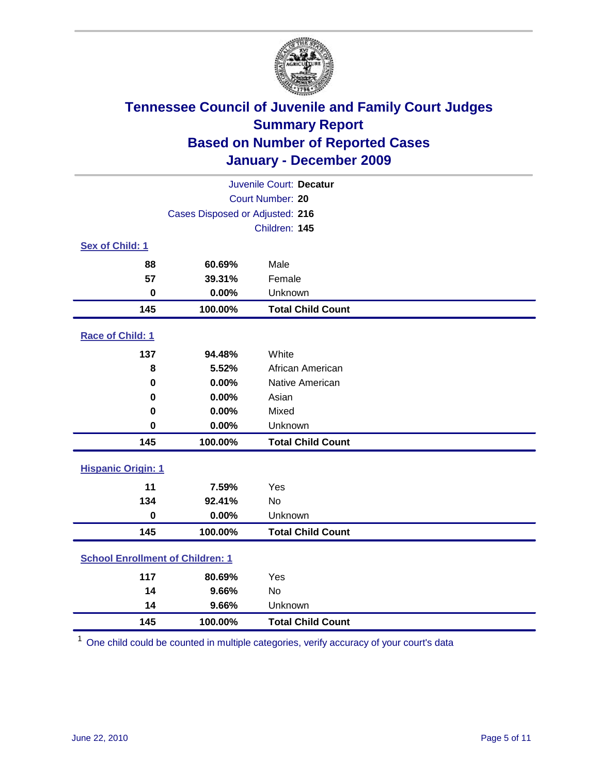

| Juvenile Court: Decatur                 |                                 |                          |  |  |  |
|-----------------------------------------|---------------------------------|--------------------------|--|--|--|
|                                         | Court Number: 20                |                          |  |  |  |
|                                         | Cases Disposed or Adjusted: 216 |                          |  |  |  |
|                                         |                                 | Children: 145            |  |  |  |
| Sex of Child: 1                         |                                 |                          |  |  |  |
| 88                                      | 60.69%                          | Male                     |  |  |  |
| 57                                      | 39.31%                          | Female                   |  |  |  |
| $\mathbf 0$                             | 0.00%                           | Unknown                  |  |  |  |
| 145                                     | 100.00%                         | <b>Total Child Count</b> |  |  |  |
| Race of Child: 1                        |                                 |                          |  |  |  |
| 137                                     | 94.48%                          | White                    |  |  |  |
| 8                                       | 5.52%                           | African American         |  |  |  |
| 0                                       | 0.00%                           | Native American          |  |  |  |
| $\mathbf 0$                             | 0.00%                           | Asian                    |  |  |  |
| $\mathbf 0$                             | 0.00%                           | Mixed                    |  |  |  |
| $\mathbf 0$                             | 0.00%                           | Unknown                  |  |  |  |
| 145                                     | 100.00%                         | <b>Total Child Count</b> |  |  |  |
| <b>Hispanic Origin: 1</b>               |                                 |                          |  |  |  |
| 11                                      | 7.59%                           | Yes                      |  |  |  |
| 134                                     | 92.41%                          | No                       |  |  |  |
| $\mathbf 0$                             | 0.00%                           | Unknown                  |  |  |  |
| 145                                     | 100.00%                         | <b>Total Child Count</b> |  |  |  |
| <b>School Enrollment of Children: 1</b> |                                 |                          |  |  |  |
| 117                                     | 80.69%                          | Yes                      |  |  |  |
| 14                                      | 9.66%                           | <b>No</b>                |  |  |  |
| 14                                      | 9.66%                           | Unknown                  |  |  |  |
| 145                                     | 100.00%                         | <b>Total Child Count</b> |  |  |  |

One child could be counted in multiple categories, verify accuracy of your court's data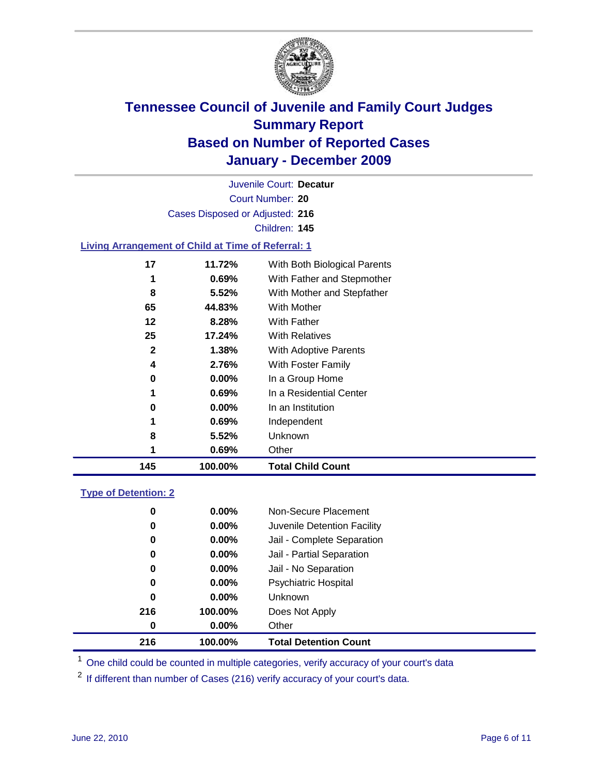

Court Number: **20** Juvenile Court: **Decatur** Cases Disposed or Adjusted: **216** Children: **145**

### **Living Arrangement of Child at Time of Referral: 1**

| 145          | 100.00%  | <b>Total Child Count</b>     |
|--------------|----------|------------------------------|
| 1            | 0.69%    | Other                        |
| 8            | 5.52%    | Unknown                      |
| 1            | 0.69%    | Independent                  |
| 0            | $0.00\%$ | In an Institution            |
| 1            | 0.69%    | In a Residential Center      |
| 0            | $0.00\%$ | In a Group Home              |
| 4            | 2.76%    | With Foster Family           |
| $\mathbf{2}$ | 1.38%    | With Adoptive Parents        |
| 25           | 17.24%   | <b>With Relatives</b>        |
| 12           | 8.28%    | <b>With Father</b>           |
| 65           | 44.83%   | With Mother                  |
| 8            | 5.52%    | With Mother and Stepfather   |
| 1            | 0.69%    | With Father and Stepmother   |
| 17           | 11.72%   | With Both Biological Parents |
|              |          |                              |

### **Type of Detention: 2**

| 216 | 100.00%  | <b>Total Detention Count</b> |  |
|-----|----------|------------------------------|--|
| 0   | $0.00\%$ | Other                        |  |
| 216 | 100.00%  | Does Not Apply               |  |
| 0   | $0.00\%$ | Unknown                      |  |
| 0   | 0.00%    | <b>Psychiatric Hospital</b>  |  |
| 0   | 0.00%    | Jail - No Separation         |  |
| 0   | $0.00\%$ | Jail - Partial Separation    |  |
| 0   | $0.00\%$ | Jail - Complete Separation   |  |
| 0   | 0.00%    | Juvenile Detention Facility  |  |
| 0   | $0.00\%$ | Non-Secure Placement         |  |
|     |          |                              |  |

<sup>1</sup> One child could be counted in multiple categories, verify accuracy of your court's data

<sup>2</sup> If different than number of Cases (216) verify accuracy of your court's data.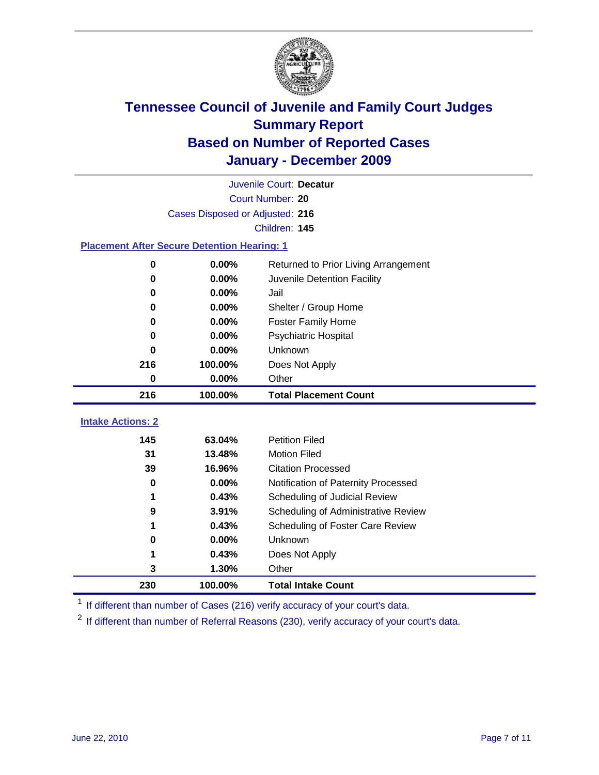

| Juvenile Court: Decatur                            |                                 |                                      |  |  |  |
|----------------------------------------------------|---------------------------------|--------------------------------------|--|--|--|
|                                                    | Court Number: 20                |                                      |  |  |  |
|                                                    | Cases Disposed or Adjusted: 216 |                                      |  |  |  |
|                                                    |                                 | Children: 145                        |  |  |  |
| <b>Placement After Secure Detention Hearing: 1</b> |                                 |                                      |  |  |  |
| $\mathbf 0$                                        | 0.00%                           | Returned to Prior Living Arrangement |  |  |  |
| $\bf{0}$                                           | 0.00%                           | Juvenile Detention Facility          |  |  |  |
| $\bf{0}$                                           | 0.00%                           | Jail                                 |  |  |  |
| 0                                                  | 0.00%                           | Shelter / Group Home                 |  |  |  |
| $\bf{0}$                                           | 0.00%                           | Foster Family Home                   |  |  |  |
| 0                                                  | 0.00%                           | Psychiatric Hospital                 |  |  |  |
| 0                                                  | 0.00%                           | Unknown                              |  |  |  |
| 216                                                | 100.00%                         | Does Not Apply                       |  |  |  |
| $\mathbf 0$                                        | 0.00%                           | Other                                |  |  |  |
| 216                                                | 100.00%                         | <b>Total Placement Count</b>         |  |  |  |
| <b>Intake Actions: 2</b>                           |                                 |                                      |  |  |  |
|                                                    |                                 | <b>Petition Filed</b>                |  |  |  |
| 145                                                | 63.04%                          |                                      |  |  |  |
| 31                                                 | 13.48%                          | <b>Motion Filed</b>                  |  |  |  |
| 39                                                 | 16.96%                          | <b>Citation Processed</b>            |  |  |  |
| 0                                                  | 0.00%                           | Notification of Paternity Processed  |  |  |  |
| 1                                                  | 0.43%                           | Scheduling of Judicial Review        |  |  |  |
| 9                                                  | 3.91%                           | Scheduling of Administrative Review  |  |  |  |
|                                                    | 0.43%                           | Scheduling of Foster Care Review     |  |  |  |
| 0                                                  | 0.00%                           | <b>Unknown</b>                       |  |  |  |
| 1                                                  | 0.43%                           | Does Not Apply                       |  |  |  |
| 3                                                  | 1.30%                           | Other                                |  |  |  |
| 230                                                | 100.00%                         | <b>Total Intake Count</b>            |  |  |  |

<sup>1</sup> If different than number of Cases (216) verify accuracy of your court's data.

<sup>2</sup> If different than number of Referral Reasons (230), verify accuracy of your court's data.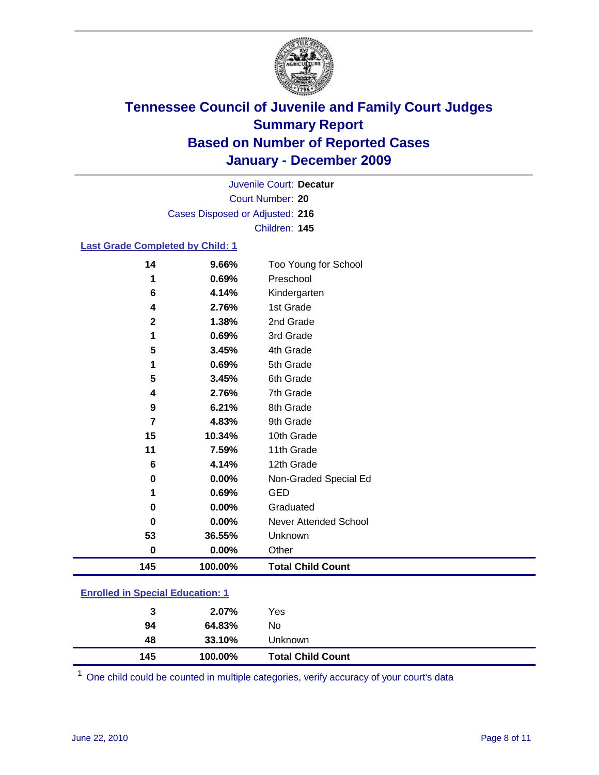

Court Number: **20** Juvenile Court: **Decatur** Cases Disposed or Adjusted: **216** Children: **145**

### **Last Grade Completed by Child: 1**

| 14                                      | 9.66%   | Too Young for School         |
|-----------------------------------------|---------|------------------------------|
| 1                                       | 0.69%   | Preschool                    |
| 6                                       | 4.14%   | Kindergarten                 |
| 4                                       | 2.76%   | 1st Grade                    |
| $\mathbf 2$                             | 1.38%   | 2nd Grade                    |
| 1                                       | 0.69%   | 3rd Grade                    |
| 5                                       | 3.45%   | 4th Grade                    |
| 1                                       | 0.69%   | 5th Grade                    |
| 5                                       | 3.45%   | 6th Grade                    |
| 4                                       | 2.76%   | 7th Grade                    |
| 9                                       | 6.21%   | 8th Grade                    |
| 7                                       | 4.83%   | 9th Grade                    |
| 15                                      | 10.34%  | 10th Grade                   |
| 11                                      | 7.59%   | 11th Grade                   |
| 6                                       | 4.14%   | 12th Grade                   |
| 0                                       | 0.00%   | Non-Graded Special Ed        |
| 1                                       | 0.69%   | <b>GED</b>                   |
| 0                                       | 0.00%   | Graduated                    |
| 0                                       | 0.00%   | <b>Never Attended School</b> |
| 53                                      | 36.55%  | Unknown                      |
| $\bf{0}$                                | 0.00%   | Other                        |
| 145                                     | 100.00% | <b>Total Child Count</b>     |
| <b>Enrolled in Special Education: 1</b> |         |                              |

| 145                                   | 100.00% | <b>Total Child Count</b> |  |  |
|---------------------------------------|---------|--------------------------|--|--|
| 48                                    | 33.10%  | Unknown                  |  |  |
| 94                                    | 64.83%  | No                       |  |  |
| 3                                     | 2.07%   | Yes                      |  |  |
| <u>Embreu III opecial Eugeanon. T</u> |         |                          |  |  |

One child could be counted in multiple categories, verify accuracy of your court's data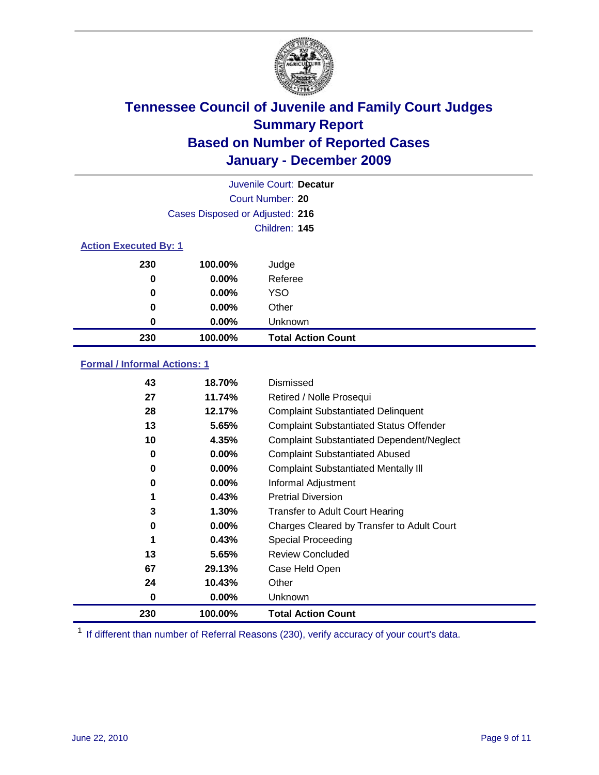

|                              | Juvenile Court: Decatur         |                           |  |  |
|------------------------------|---------------------------------|---------------------------|--|--|
|                              |                                 | Court Number: 20          |  |  |
|                              | Cases Disposed or Adjusted: 216 |                           |  |  |
|                              | Children: 145                   |                           |  |  |
| <b>Action Executed By: 1</b> |                                 |                           |  |  |
| 230                          | 100.00%                         | Judge                     |  |  |
| $\bf{0}$                     | $0.00\%$                        | Referee                   |  |  |
| 0                            | 0.00%                           | <b>YSO</b>                |  |  |
| 0                            | 0.00%                           | Other                     |  |  |
| 0                            | 0.00%                           | Unknown                   |  |  |
| 230                          | 100.00%                         | <b>Total Action Count</b> |  |  |

### **Formal / Informal Actions: 1**

| 43  | 18.70%   | Dismissed                                        |
|-----|----------|--------------------------------------------------|
| 27  | 11.74%   | Retired / Nolle Prosequi                         |
| 28  | 12.17%   | <b>Complaint Substantiated Delinquent</b>        |
| 13  | 5.65%    | <b>Complaint Substantiated Status Offender</b>   |
| 10  | 4.35%    | <b>Complaint Substantiated Dependent/Neglect</b> |
| 0   | $0.00\%$ | <b>Complaint Substantiated Abused</b>            |
| 0   | $0.00\%$ | <b>Complaint Substantiated Mentally III</b>      |
| 0   | $0.00\%$ | Informal Adjustment                              |
| 1   | 0.43%    | <b>Pretrial Diversion</b>                        |
| 3   | 1.30%    | <b>Transfer to Adult Court Hearing</b>           |
| 0   | $0.00\%$ | Charges Cleared by Transfer to Adult Court       |
|     | 0.43%    | Special Proceeding                               |
| 13  | 5.65%    | <b>Review Concluded</b>                          |
| 67  | 29.13%   | Case Held Open                                   |
| 24  | 10.43%   | Other                                            |
| 0   | $0.00\%$ | Unknown                                          |
| 230 | 100.00%  | <b>Total Action Count</b>                        |

<sup>1</sup> If different than number of Referral Reasons (230), verify accuracy of your court's data.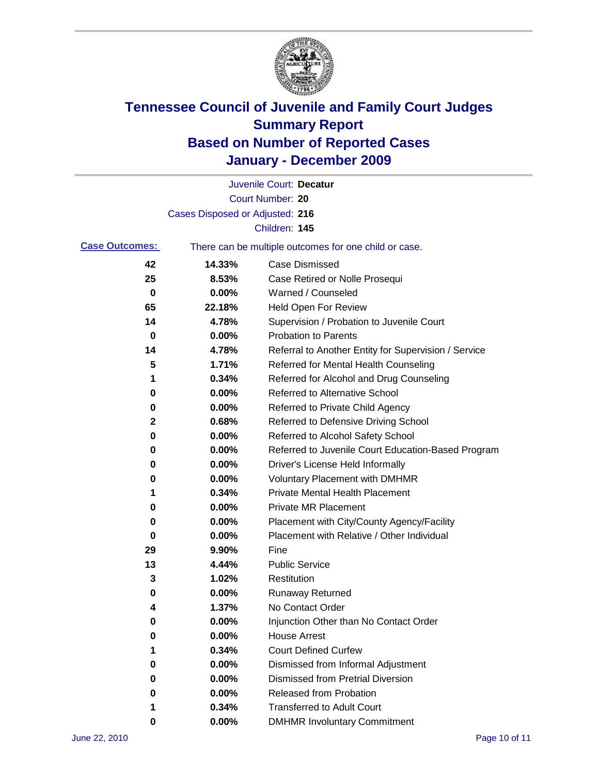

|                       |                                 | Juvenile Court: Decatur                               |
|-----------------------|---------------------------------|-------------------------------------------------------|
|                       |                                 | Court Number: 20                                      |
|                       | Cases Disposed or Adjusted: 216 |                                                       |
|                       |                                 | Children: 145                                         |
| <b>Case Outcomes:</b> |                                 | There can be multiple outcomes for one child or case. |
| 42                    | 14.33%                          | <b>Case Dismissed</b>                                 |
| 25                    | 8.53%                           | Case Retired or Nolle Prosequi                        |
| $\mathbf 0$           | 0.00%                           | Warned / Counseled                                    |
| 65                    | 22.18%                          | Held Open For Review                                  |
| 14                    | 4.78%                           | Supervision / Probation to Juvenile Court             |
| 0                     | 0.00%                           | <b>Probation to Parents</b>                           |
| 14                    | 4.78%                           | Referral to Another Entity for Supervision / Service  |
| 5                     | 1.71%                           | Referred for Mental Health Counseling                 |
| 1                     | 0.34%                           | Referred for Alcohol and Drug Counseling              |
| 0                     | 0.00%                           | Referred to Alternative School                        |
| 0                     | 0.00%                           | Referred to Private Child Agency                      |
| 2                     | 0.68%                           | Referred to Defensive Driving School                  |
| 0                     | 0.00%                           | Referred to Alcohol Safety School                     |
| 0                     | 0.00%                           | Referred to Juvenile Court Education-Based Program    |
| 0                     | 0.00%                           | Driver's License Held Informally                      |
| 0                     | 0.00%                           | <b>Voluntary Placement with DMHMR</b>                 |
| 1                     | 0.34%                           | <b>Private Mental Health Placement</b>                |
| 0                     | 0.00%                           | <b>Private MR Placement</b>                           |
| 0                     | 0.00%                           | Placement with City/County Agency/Facility            |
| 0                     | 0.00%                           | Placement with Relative / Other Individual            |
| 29                    | 9.90%                           | Fine                                                  |
| 13                    | 4.44%                           | <b>Public Service</b>                                 |
| 3                     | 1.02%                           | Restitution                                           |
| 0                     | 0.00%                           | <b>Runaway Returned</b>                               |
| 4                     | 1.37%                           | No Contact Order                                      |
| 0                     | 0.00%                           | Injunction Other than No Contact Order                |
| 0                     | 0.00%                           | <b>House Arrest</b>                                   |
| 1                     | 0.34%                           | <b>Court Defined Curfew</b>                           |
| 0                     | 0.00%                           | Dismissed from Informal Adjustment                    |
| 0                     | 0.00%                           | <b>Dismissed from Pretrial Diversion</b>              |
| 0                     | 0.00%                           | Released from Probation                               |
| 1                     | 0.34%                           | <b>Transferred to Adult Court</b>                     |
| 0                     | $0.00\%$                        | <b>DMHMR Involuntary Commitment</b>                   |